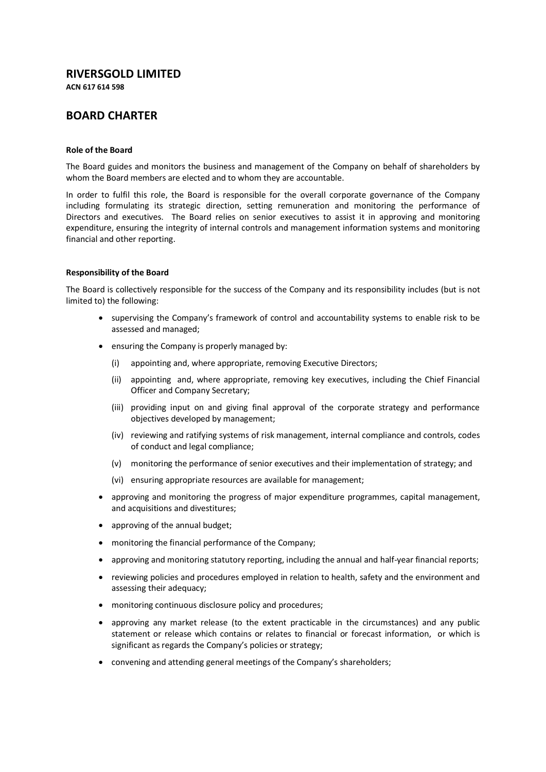# **RIVERSGOLD LIMITED**

**ACN 617 614 598**

# **BOARD CHARTER**

### **Role of the Board**

The Board guides and monitors the business and management of the Company on behalf of shareholders by whom the Board members are elected and to whom they are accountable.

In order to fulfil this role, the Board is responsible for the overall corporate governance of the Company including formulating its strategic direction, setting remuneration and monitoring the performance of Directors and executives. The Board relies on senior executives to assist it in approving and monitoring expenditure, ensuring the integrity of internal controls and management information systems and monitoring financial and other reporting.

### **Responsibility of the Board**

The Board is collectively responsible for the success of the Company and its responsibility includes (but is not limited to) the following:

- supervising the Company's framework of control and accountability systems to enable risk to be assessed and managed;
- ensuring the Company is properly managed by:
	- (i) appointing and, where appropriate, removing Executive Directors;
	- (ii) appointing and, where appropriate, removing key executives, including the Chief Financial Officer and Company Secretary;
	- (iii) providing input on and giving final approval of the corporate strategy and performance objectives developed by management;
	- (iv) reviewing and ratifying systems of risk management, internal compliance and controls, codes of conduct and legal compliance;
	- (v) monitoring the performance of senior executives and their implementation of strategy; and
	- (vi) ensuring appropriate resources are available for management;
- approving and monitoring the progress of major expenditure programmes, capital management, and acquisitions and divestitures;
- approving of the annual budget;
- monitoring the financial performance of the Company;
- approving and monitoring statutory reporting, including the annual and half-year financial reports;
- reviewing policies and procedures employed in relation to health, safety and the environment and assessing their adequacy;
- monitoring continuous disclosure policy and procedures;
- approving any market release (to the extent practicable in the circumstances) and any public statement or release which contains or relates to financial or forecast information, or which is significant as regards the Company's policies or strategy;
- convening and attending general meetings of the Company's shareholders;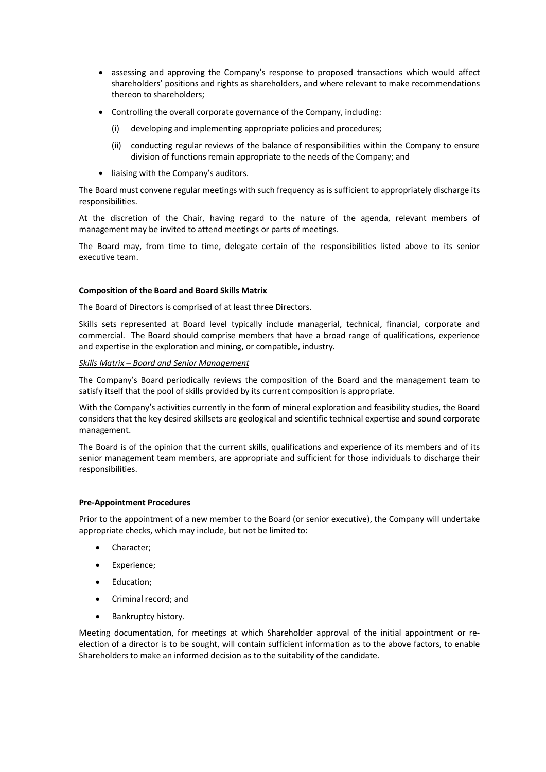- assessing and approving the Company's response to proposed transactions which would affect shareholders' positions and rights as shareholders, and where relevant to make recommendations thereon to shareholders;
- Controlling the overall corporate governance of the Company, including:
	- (i) developing and implementing appropriate policies and procedures;
	- (ii) conducting regular reviews of the balance of responsibilities within the Company to ensure division of functions remain appropriate to the needs of the Company; and
- liaising with the Company's auditors.

The Board must convene regular meetings with such frequency as is sufficient to appropriately discharge its responsibilities.

At the discretion of the Chair, having regard to the nature of the agenda, relevant members of management may be invited to attend meetings or parts of meetings.

The Board may, from time to time, delegate certain of the responsibilities listed above to its senior executive team.

# **Composition of the Board and Board Skills Matrix**

The Board of Directors is comprised of at least three Directors.

Skills sets represented at Board level typically include managerial, technical, financial, corporate and commercial. The Board should comprise members that have a broad range of qualifications, experience and expertise in the exploration and mining, or compatible, industry.

# *Skills Matrix – Board and Senior Management*

The Company's Board periodically reviews the composition of the Board and the management team to satisfy itself that the pool of skills provided by its current composition is appropriate.

With the Company's activities currently in the form of mineral exploration and feasibility studies, the Board considers that the key desired skillsets are geological and scientific technical expertise and sound corporate management.

The Board is of the opinion that the current skills, qualifications and experience of its members and of its senior management team members, are appropriate and sufficient for those individuals to discharge their responsibilities.

# **Pre-Appointment Procedures**

Prior to the appointment of a new member to the Board (or senior executive), the Company will undertake appropriate checks, which may include, but not be limited to:

- Character;
- Experience;
- Education;
- Criminal record; and
- Bankruptcy history.

Meeting documentation, for meetings at which Shareholder approval of the initial appointment or reelection of a director is to be sought, will contain sufficient information as to the above factors, to enable Shareholders to make an informed decision as to the suitability of the candidate.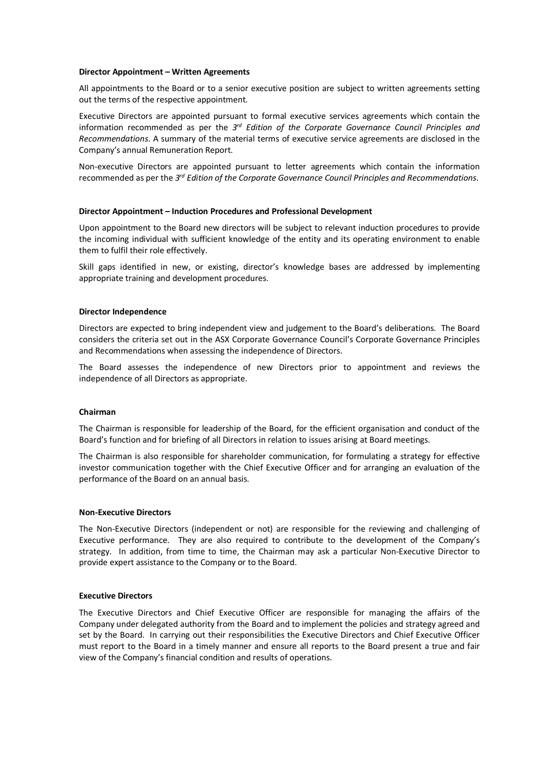### **Director Appointment – Written Agreements**

All appointments to the Board or to a senior executive position are subject to written agreements setting out the terms of the respective appointment.

Executive Directors are appointed pursuant to formal executive services agreements which contain the information recommended as per the *3rd Edition of the Corporate Governance Council Principles and Recommendations*. A summary of the material terms of executive service agreements are disclosed in the Company's annual Remuneration Report.

Non-executive Directors are appointed pursuant to letter agreements which contain the information recommended as per the *3rd Edition of the Corporate Governance Council Principles and Recommendations*.

#### **Director Appointment – Induction Procedures and Professional Development**

Upon appointment to the Board new directors will be subject to relevant induction procedures to provide the incoming individual with sufficient knowledge of the entity and its operating environment to enable them to fulfil their role effectively.

Skill gaps identified in new, or existing, director's knowledge bases are addressed by implementing appropriate training and development procedures.

#### **Director Independence**

Directors are expected to bring independent view and judgement to the Board's deliberations. The Board considers the criteria set out in the ASX Corporate Governance Council's Corporate Governance Principles and Recommendations when assessing the independence of Directors.

The Board assesses the independence of new Directors prior to appointment and reviews the independence of all Directors as appropriate.

#### **Chairman**

The Chairman is responsible for leadership of the Board, for the efficient organisation and conduct of the Board's function and for briefing of all Directors in relation to issues arising at Board meetings.

The Chairman is also responsible for shareholder communication, for formulating a strategy for effective investor communication together with the Chief Executive Officer and for arranging an evaluation of the performance of the Board on an annual basis.

### **Non-Executive Directors**

The Non-Executive Directors (independent or not) are responsible for the reviewing and challenging of Executive performance. They are also required to contribute to the development of the Company's strategy. In addition, from time to time, the Chairman may ask a particular Non-Executive Director to provide expert assistance to the Company or to the Board.

### **Executive Directors**

The Executive Directors and Chief Executive Officer are responsible for managing the affairs of the Company under delegated authority from the Board and to implement the policies and strategy agreed and set by the Board. In carrying out their responsibilities the Executive Directors and Chief Executive Officer must report to the Board in a timely manner and ensure all reports to the Board present a true and fair view of the Company's financial condition and results of operations.